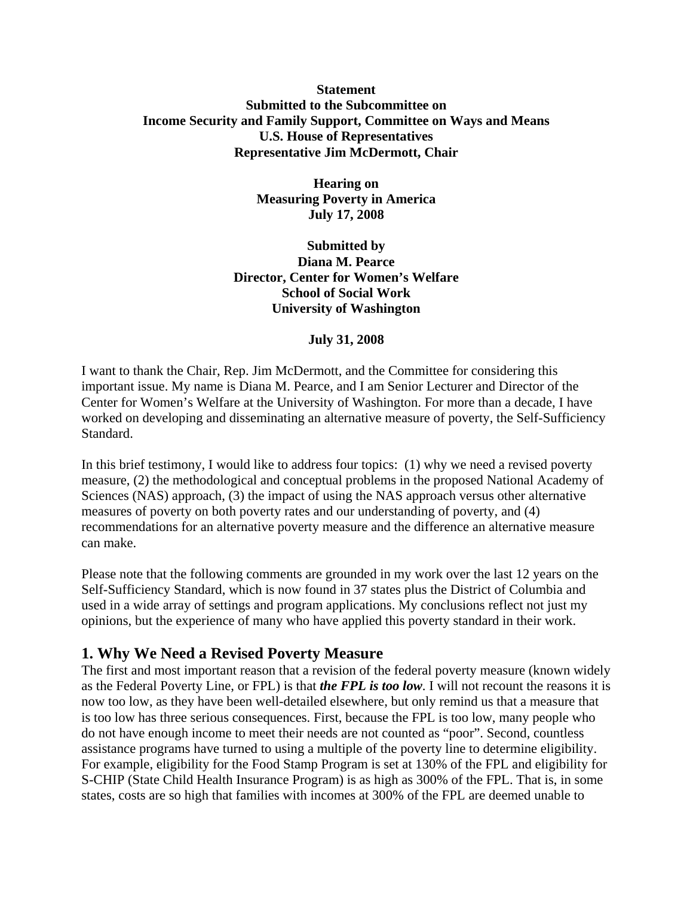# **Statement Submitted to the Subcommittee on Income Security and Family Support, Committee on Ways and Means U.S. House of Representatives Representative Jim McDermott, Chair**

**Hearing on Measuring Poverty in America July 17, 2008** 

**Submitted by Diana M. Pearce Director, Center for Women's Welfare School of Social Work University of Washington** 

#### **July 31, 2008**

I want to thank the Chair, Rep. Jim McDermott, and the Committee for considering this important issue. My name is Diana M. Pearce, and I am Senior Lecturer and Director of the Center for Women's Welfare at the University of Washington. For more than a decade, I have worked on developing and disseminating an alternative measure of poverty, the Self-Sufficiency Standard.

In this brief testimony, I would like to address four topics: (1) why we need a revised poverty measure, (2) the methodological and conceptual problems in the proposed National Academy of Sciences (NAS) approach, (3) the impact of using the NAS approach versus other alternative measures of poverty on both poverty rates and our understanding of poverty, and (4) recommendations for an alternative poverty measure and the difference an alternative measure can make.

Please note that the following comments are grounded in my work over the last 12 years on the Self-Sufficiency Standard, which is now found in 37 states plus the District of Columbia and used in a wide array of settings and program applications. My conclusions reflect not just my opinions, but the experience of many who have applied this poverty standard in their work.

# **1. Why We Need a Revised Poverty Measure**

The first and most important reason that a revision of the federal poverty measure (known widely as the Federal Poverty Line, or FPL) is that *the FPL is too low*. I will not recount the reasons it is now too low, as they have been well-detailed elsewhere, but only remind us that a measure that is too low has three serious consequences. First, because the FPL is too low, many people who do not have enough income to meet their needs are not counted as "poor". Second, countless assistance programs have turned to using a multiple of the poverty line to determine eligibility. For example, eligibility for the Food Stamp Program is set at 130% of the FPL and eligibility for S-CHIP (State Child Health Insurance Program) is as high as 300% of the FPL. That is, in some states, costs are so high that families with incomes at 300% of the FPL are deemed unable to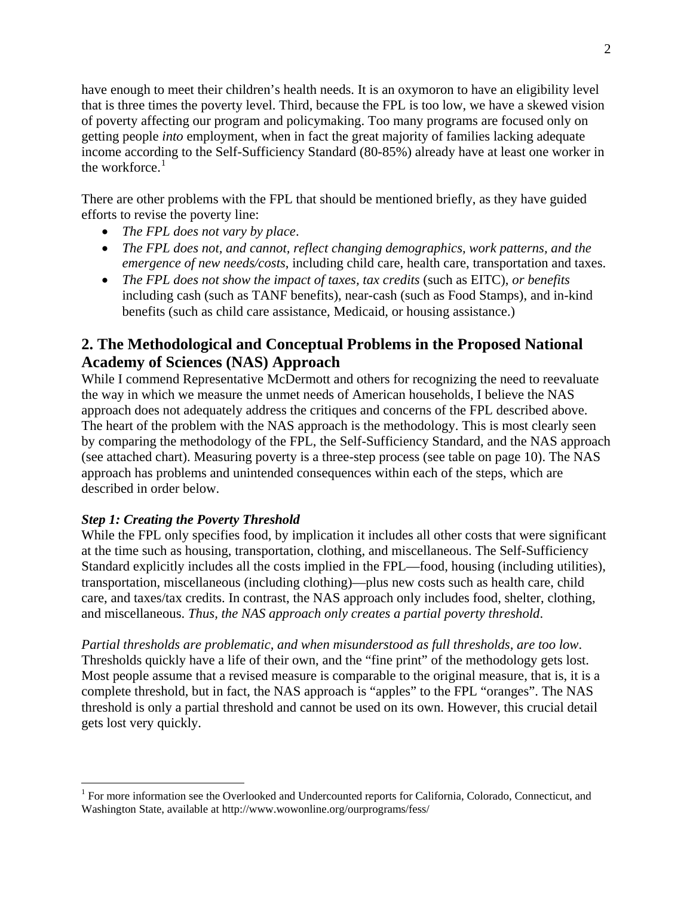have enough to meet their children's health needs. It is an oxymoron to have an eligibility level that is three times the poverty level. Third, because the FPL is too low, we have a skewed vision of poverty affecting our program and policymaking. Too many programs are focused only on getting people *into* employment, when in fact the great majority of families lacking adequate income according to the Self-Sufficiency Standard (80-85%) already have at least one worker in the workforce. $<sup>1</sup>$  $<sup>1</sup>$  $<sup>1</sup>$ </sup>

There are other problems with the FPL that should be mentioned briefly, as they have guided efforts to revise the poverty line:

- *The FPL does not vary by place*.
- *The FPL does not, and cannot, reflect changing demographics, work patterns, and the emergence of new needs/costs*, including child care, health care, transportation and taxes.
- *The FPL does not show the impact of taxes, tax credits* (such as EITC), *or benefits* including cash (such as TANF benefits), near-cash (such as Food Stamps), and in-kind benefits (such as child care assistance, Medicaid, or housing assistance.)

# **2. The Methodological and Conceptual Problems in the Proposed National Academy of Sciences (NAS) Approach**

While I commend Representative McDermott and others for recognizing the need to reevaluate the way in which we measure the unmet needs of American households, I believe the NAS approach does not adequately address the critiques and concerns of the FPL described above. The heart of the problem with the NAS approach is the methodology. This is most clearly seen by comparing the methodology of the FPL, the Self-Sufficiency Standard, and the NAS approach (see attached chart). Measuring poverty is a three-step process (see table on page 10). The NAS approach has problems and unintended consequences within each of the steps, which are described in order below.

# *Step 1: Creating the Poverty Threshold*

 $\overline{a}$ 

While the FPL only specifies food, by implication it includes all other costs that were significant at the time such as housing, transportation, clothing, and miscellaneous. The Self-Sufficiency Standard explicitly includes all the costs implied in the FPL—food, housing (including utilities), transportation, miscellaneous (including clothing)—plus new costs such as health care, child care, and taxes/tax credits. In contrast, the NAS approach only includes food, shelter, clothing, and miscellaneous. *Thus, the NAS approach only creates a partial poverty threshold*.

*Partial thresholds are problematic, and when misunderstood as full thresholds, are too low*. Thresholds quickly have a life of their own, and the "fine print" of the methodology gets lost. Most people assume that a revised measure is comparable to the original measure, that is, it is a complete threshold, but in fact, the NAS approach is "apples" to the FPL "oranges". The NAS threshold is only a partial threshold and cannot be used on its own. However, this crucial detail gets lost very quickly.

<span id="page-1-0"></span><sup>&</sup>lt;sup>1</sup> For more information see the Overlooked and Undercounted reports for California, Colorado, Connecticut, and Washington State, available at http://www.wowonline.org/ourprograms/fess/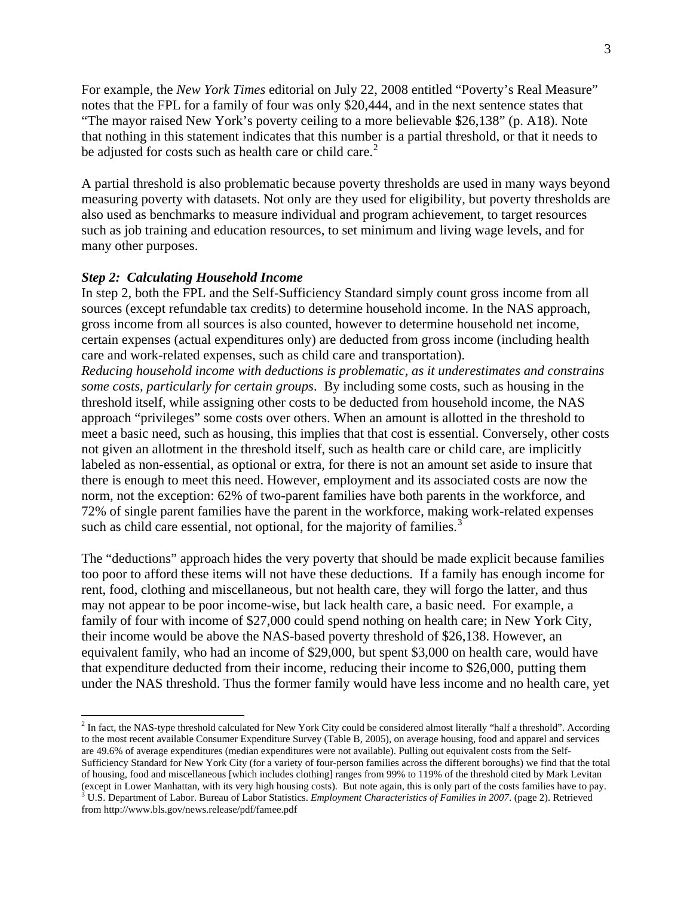For example, the *New York Times* editorial on July 22, 2008 entitled "Poverty's Real Measure" notes that the FPL for a family of four was only \$20,444, and in the next sentence states that "The mayor raised New York's poverty ceiling to a more believable \$26,138" (p. A18). Note that nothing in this statement indicates that this number is a partial threshold, or that it needs to be adjusted for costs such as health care or child care. $<sup>2</sup>$  $<sup>2</sup>$  $<sup>2</sup>$ </sup>

A partial threshold is also problematic because poverty thresholds are used in many ways beyond measuring poverty with datasets. Not only are they used for eligibility, but poverty thresholds are also used as benchmarks to measure individual and program achievement, to target resources such as job training and education resources, to set minimum and living wage levels, and for many other purposes.

#### *Step 2: Calculating Household Income*

<u>.</u>

In step 2, both the FPL and the Self-Sufficiency Standard simply count gross income from all sources (except refundable tax credits) to determine household income. In the NAS approach, gross income from all sources is also counted, however to determine household net income, certain expenses (actual expenditures only) are deducted from gross income (including health care and work-related expenses, such as child care and transportation).

*Reducing household income with deductions is problematic, as it underestimates and constrains some costs, particularly for certain groups*. By including some costs, such as housing in the threshold itself, while assigning other costs to be deducted from household income, the NAS approach "privileges" some costs over others. When an amount is allotted in the threshold to meet a basic need, such as housing, this implies that that cost is essential. Conversely, other costs not given an allotment in the threshold itself, such as health care or child care, are implicitly labeled as non-essential, as optional or extra, for there is not an amount set aside to insure that there is enough to meet this need. However, employment and its associated costs are now the norm, not the exception: 62% of two-parent families have both parents in the workforce, and 72% of single parent families have the parent in the workforce, making work-related expenses such as child care essential, not optional, for the majority of families.<sup>[3](#page-2-1)</sup>

The "deductions" approach hides the very poverty that should be made explicit because families too poor to afford these items will not have these deductions. If a family has enough income for rent, food, clothing and miscellaneous, but not health care, they will forgo the latter, and thus may not appear to be poor income-wise, but lack health care, a basic need. For example, a family of four with income of \$27,000 could spend nothing on health care; in New York City, their income would be above the NAS-based poverty threshold of \$26,138. However, an equivalent family, who had an income of \$29,000, but spent \$3,000 on health care, would have that expenditure deducted from their income, reducing their income to \$26,000, putting them under the NAS threshold. Thus the former family would have less income and no health care, yet

<span id="page-2-1"></span><span id="page-2-0"></span> $<sup>2</sup>$  In fact, the NAS-type threshold calculated for New York City could be considered almost literally "half a threshold". According</sup> to the most recent available Consumer Expenditure Survey (Table B, 2005), on average housing, food and apparel and services are 49.6% of average expenditures (median expenditures were not available). Pulling out equivalent costs from the Self-Sufficiency Standard for New York City (for a variety of four-person families across the different boroughs) we find that the total of housing, food and miscellaneous [which includes clothing] ranges from 99% to 119% of the threshold cited by Mark Levitan (except in Lower Manhattan, with its very high housing costs). But note again, this is only part of the costs families have to pay.<br><sup>3</sup> U.S. Department of Labor. Bureau of Labor Statistics. *Employment Characteristics of F* from http://www.bls.gov/news.release/pdf/famee.pdf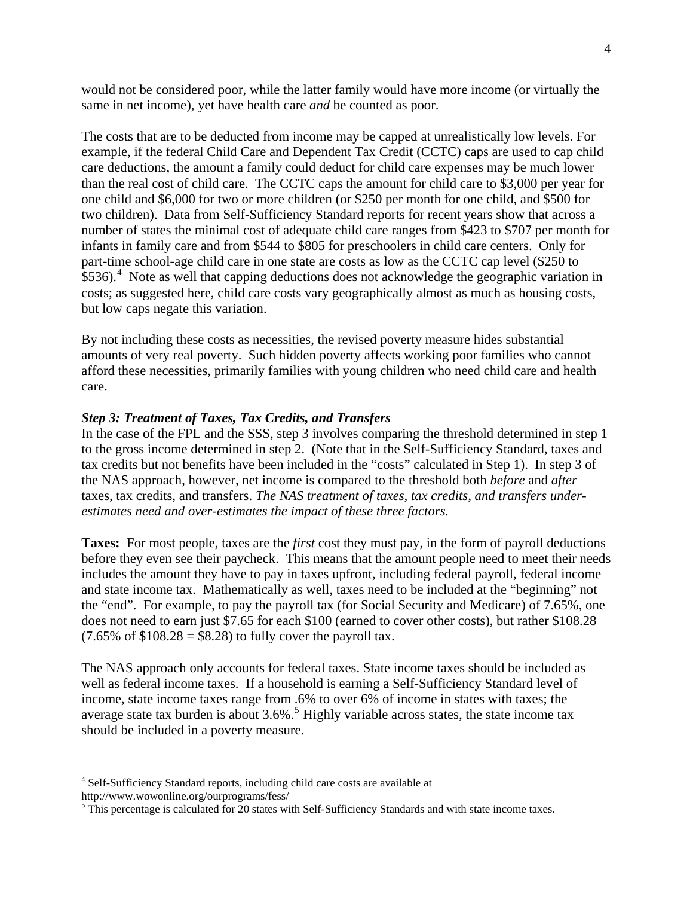would not be considered poor, while the latter family would have more income (or virtually the same in net income), yet have health care *and* be counted as poor.

The costs that are to be deducted from income may be capped at unrealistically low levels. For example, if the federal Child Care and Dependent Tax Credit (CCTC) caps are used to cap child care deductions, the amount a family could deduct for child care expenses may be much lower than the real cost of child care. The CCTC caps the amount for child care to \$3,000 per year for one child and \$6,000 for two or more children (or \$250 per month for one child, and \$500 for two children). Data from Self-Sufficiency Standard reports for recent years show that across a number of states the minimal cost of adequate child care ranges from \$423 to \$707 per month for infants in family care and from \$544 to \$805 for preschoolers in child care centers. Only for part-time school-age child care in one state are costs as low as the CCTC cap level (\$250 to  $$536$ ).<sup>[4](#page-3-0)</sup> Note as well that capping deductions does not acknowledge the geographic variation in costs; as suggested here, child care costs vary geographically almost as much as housing costs, but low caps negate this variation.

By not including these costs as necessities, the revised poverty measure hides substantial amounts of very real poverty. Such hidden poverty affects working poor families who cannot afford these necessities, primarily families with young children who need child care and health care.

# *Step 3: Treatment of Taxes, Tax Credits, and Transfers*

In the case of the FPL and the SSS, step 3 involves comparing the threshold determined in step 1 to the gross income determined in step 2. (Note that in the Self-Sufficiency Standard, taxes and tax credits but not benefits have been included in the "costs" calculated in Step 1). In step 3 of the NAS approach, however, net income is compared to the threshold both *before* and *after* taxes, tax credits, and transfers. *The NAS treatment of taxes, tax credits, and transfers underestimates need and over-estimates the impact of these three factors.*

**Taxes:** For most people, taxes are the *first* cost they must pay, in the form of payroll deductions before they even see their paycheck. This means that the amount people need to meet their needs includes the amount they have to pay in taxes upfront, including federal payroll, federal income and state income tax. Mathematically as well, taxes need to be included at the "beginning" not the "end". For example, to pay the payroll tax (for Social Security and Medicare) of 7.65%, one does not need to earn just \$7.65 for each \$100 (earned to cover other costs), but rather \$108.28  $(7.65\% \text{ of } $108.28 = $8.28)$  to fully cover the payroll tax.

The NAS approach only accounts for federal taxes. State income taxes should be included as well as federal income taxes. If a household is earning a Self-Sufficiency Standard level of income, state income taxes range from .6% to over 6% of income in states with taxes; the average state tax burden is about  $3.6\%$ .<sup>[5](#page-3-1)</sup> Highly variable across states, the state income tax should be included in a poverty measure.

 $\overline{a}$ 

<span id="page-3-0"></span><sup>&</sup>lt;sup>4</sup> Self-Sufficiency Standard reports, including child care costs are available at http://www.wowonline.org/ourprograms/fess/ 5

<span id="page-3-1"></span><sup>&</sup>lt;sup>5</sup> This percentage is calculated for 20 states with Self-Sufficiency Standards and with state income taxes.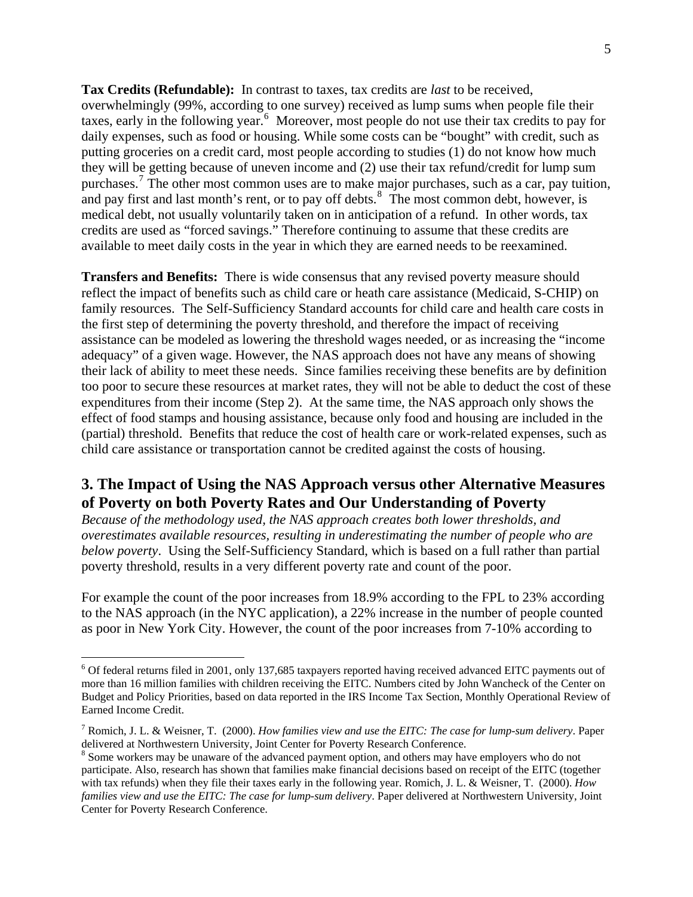**Tax Credits (Refundable):** In contrast to taxes, tax credits are *last* to be received, overwhelmingly (99%, according to one survey) received as lump sums when people file their taxes, early in the following year.<sup>[6](#page-4-0)</sup> Moreover, most people do not use their tax credits to pay for daily expenses, such as food or housing. While some costs can be "bought" with credit, such as putting groceries on a credit card, most people according to studies (1) do not know how much they will be getting because of uneven income and (2) use their tax refund/credit for lump sum purchases.<sup>[7](#page-4-1)</sup> The other most common uses are to make major purchases, such as a car, pay tuition, and pay first and last month's rent, or to pay off debts. $\frac{8}{3}$  $\frac{8}{3}$  $\frac{8}{3}$  The most common debt, however, is medical debt, not usually voluntarily taken on in anticipation of a refund. In other words, tax credits are used as "forced savings." Therefore continuing to assume that these credits are available to meet daily costs in the year in which they are earned needs to be reexamined.

**Transfers and Benefits:** There is wide consensus that any revised poverty measure should reflect the impact of benefits such as child care or heath care assistance (Medicaid, S-CHIP) on family resources. The Self-Sufficiency Standard accounts for child care and health care costs in the first step of determining the poverty threshold, and therefore the impact of receiving assistance can be modeled as lowering the threshold wages needed, or as increasing the "income adequacy" of a given wage. However, the NAS approach does not have any means of showing their lack of ability to meet these needs. Since families receiving these benefits are by definition too poor to secure these resources at market rates, they will not be able to deduct the cost of these expenditures from their income (Step 2). At the same time, the NAS approach only shows the effect of food stamps and housing assistance, because only food and housing are included in the (partial) threshold. Benefits that reduce the cost of health care or work-related expenses, such as child care assistance or transportation cannot be credited against the costs of housing.

# **3. The Impact of Using the NAS Approach versus other Alternative Measures of Poverty on both Poverty Rates and Our Understanding of Poverty**

*Because of the methodology used, the NAS approach creates both lower thresholds, and overestimates available resources, resulting in underestimating the number of people who are below poverty*. Using the Self-Sufficiency Standard, which is based on a full rather than partial poverty threshold, results in a very different poverty rate and count of the poor.

For example the count of the poor increases from 18.9% according to the FPL to 23% according to the NAS approach (in the NYC application), a 22% increase in the number of people counted as poor in New York City. However, the count of the poor increases from 7-10% according to

 $\overline{a}$ 

<span id="page-4-0"></span><sup>&</sup>lt;sup>6</sup> Of federal returns filed in 2001, only 137,685 taxpayers reported having received advanced EITC payments out of more than 16 million families with children receiving the EITC. Numbers cited by John Wancheck of the Center on Budget and Policy Priorities, based on data reported in the IRS Income Tax Section, Monthly Operational Review of Earned Income Credit.

<span id="page-4-1"></span><sup>7</sup> Romich, J. L. & Weisner, T. (2000). *How families view and use the EITC: The case for lump-sum delivery*. Paper delivered at Northwestern University, Joint Center for Poverty Research Conference. 8

<span id="page-4-2"></span><sup>&</sup>lt;sup>8</sup> Some workers may be unaware of the advanced payment option, and others may have employers who do not participate. Also, research has shown that families make financial decisions based on receipt of the EITC (together with tax refunds) when they file their taxes early in the following year. Romich, J. L. & Weisner, T. (2000). *How families view and use the EITC: The case for lump-sum delivery*. Paper delivered at Northwestern University, Joint Center for Poverty Research Conference.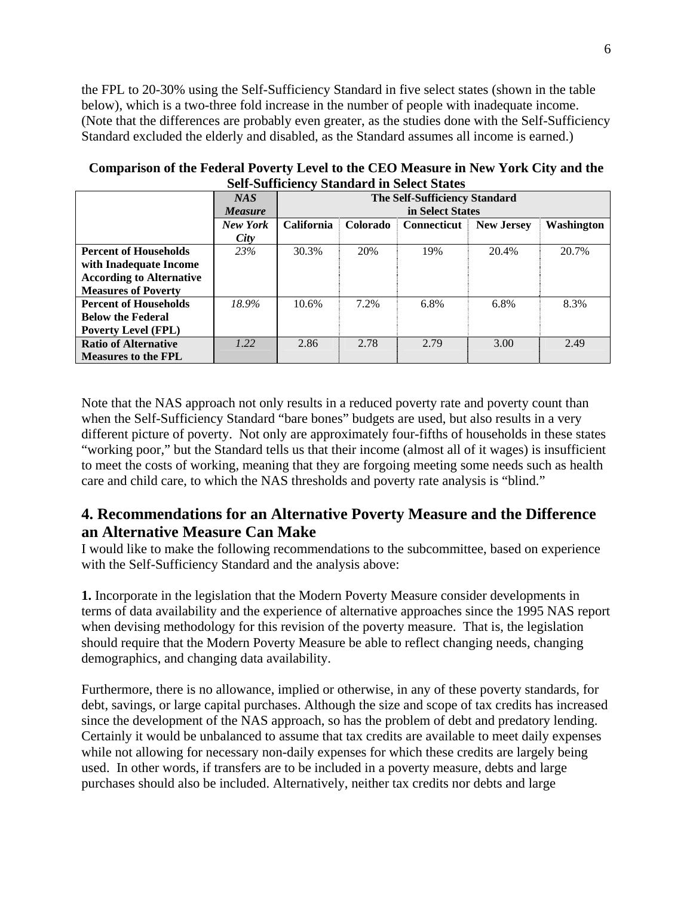the FPL to 20-30% using the Self-Sufficiency Standard in five select states (shown in the table below), which is a two-three fold increase in the number of people with inadequate income. (Note that the differences are probably even greater, as the studies done with the Self-Sufficiency Standard excluded the elderly and disabled, as the Standard assumes all income is earned.)

|                                 | NAS            | <b>The Self-Sufficiency Standard</b> |          |                    |                   |            |
|---------------------------------|----------------|--------------------------------------|----------|--------------------|-------------------|------------|
|                                 | <b>Measure</b> | in Select States                     |          |                    |                   |            |
|                                 | New York       | <b>California</b>                    | Colorado | <b>Connecticut</b> | <b>New Jersey</b> | Washington |
|                                 | City           |                                      |          |                    |                   |            |
| <b>Percent of Households</b>    | 23%            | 30.3%                                | 20%      | 19%                | 20.4%             | 20.7%      |
| with Inadequate Income          |                |                                      |          |                    |                   |            |
| <b>According to Alternative</b> |                |                                      |          |                    |                   |            |
| <b>Measures of Poverty</b>      |                |                                      |          |                    |                   |            |
| <b>Percent of Households</b>    | 18.9%          | 10.6%                                | 7.2%     | 6.8%               | 6.8%              | 8.3%       |
| <b>Below the Federal</b>        |                |                                      |          |                    |                   |            |
| <b>Poverty Level (FPL)</b>      |                |                                      |          |                    |                   |            |
| <b>Ratio of Alternative</b>     | 1.22           | 2.86                                 | 2.78     | 2.79               | 3.00              | 2.49       |
| <b>Measures to the FPL</b>      |                |                                      |          |                    |                   |            |

**Comparison of the Federal Poverty Level to the CEO Measure in New York City and the Self-Sufficiency Standard in Select States** 

Note that the NAS approach not only results in a reduced poverty rate and poverty count than when the Self-Sufficiency Standard "bare bones" budgets are used, but also results in a very different picture of poverty. Not only are approximately four-fifths of households in these states "working poor," but the Standard tells us that their income (almost all of it wages) is insufficient to meet the costs of working, meaning that they are forgoing meeting some needs such as health care and child care, to which the NAS thresholds and poverty rate analysis is "blind."

# **4. Recommendations for an Alternative Poverty Measure and the Difference an Alternative Measure Can Make**

I would like to make the following recommendations to the subcommittee, based on experience with the Self-Sufficiency Standard and the analysis above:

**1.** Incorporate in the legislation that the Modern Poverty Measure consider developments in terms of data availability and the experience of alternative approaches since the 1995 NAS report when devising methodology for this revision of the poverty measure. That is, the legislation should require that the Modern Poverty Measure be able to reflect changing needs, changing demographics, and changing data availability.

Furthermore, there is no allowance, implied or otherwise, in any of these poverty standards, for debt, savings, or large capital purchases. Although the size and scope of tax credits has increased since the development of the NAS approach, so has the problem of debt and predatory lending. Certainly it would be unbalanced to assume that tax credits are available to meet daily expenses while not allowing for necessary non-daily expenses for which these credits are largely being used. In other words, if transfers are to be included in a poverty measure, debts and large purchases should also be included. Alternatively, neither tax credits nor debts and large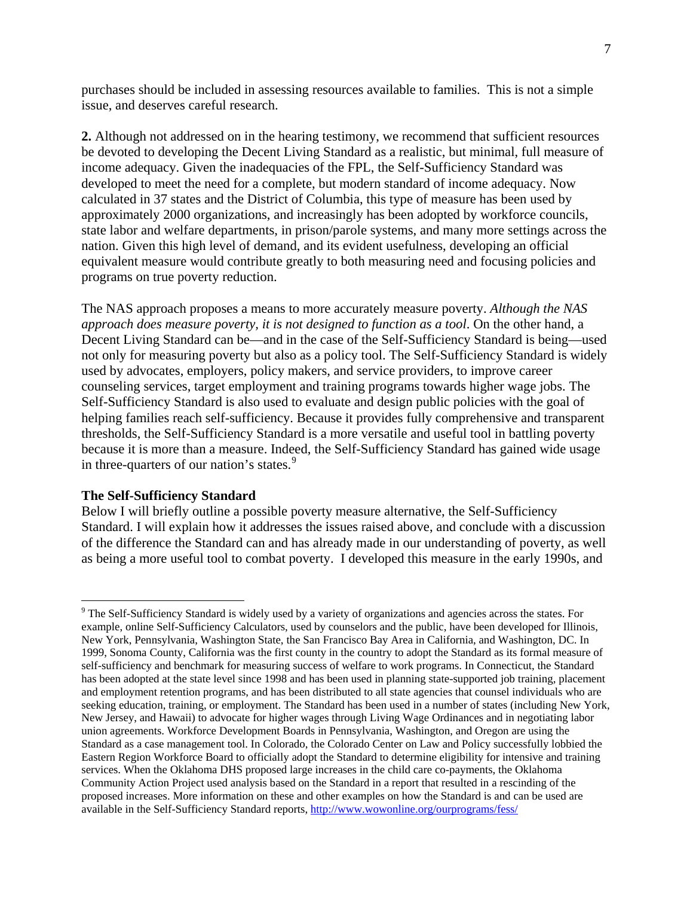purchases should be included in assessing resources available to families. This is not a simple issue, and deserves careful research.

**2.** Although not addressed on in the hearing testimony, we recommend that sufficient resources be devoted to developing the Decent Living Standard as a realistic, but minimal, full measure of income adequacy. Given the inadequacies of the FPL, the Self-Sufficiency Standard was developed to meet the need for a complete, but modern standard of income adequacy. Now calculated in 37 states and the District of Columbia, this type of measure has been used by approximately 2000 organizations, and increasingly has been adopted by workforce councils, state labor and welfare departments, in prison/parole systems, and many more settings across the nation. Given this high level of demand, and its evident usefulness, developing an official equivalent measure would contribute greatly to both measuring need and focusing policies and programs on true poverty reduction.

The NAS approach proposes a means to more accurately measure poverty. *Although the NAS approach does measure poverty, it is not designed to function as a tool*. On the other hand, a Decent Living Standard can be—and in the case of the Self-Sufficiency Standard is being—used not only for measuring poverty but also as a policy tool. The Self-Sufficiency Standard is widely used by advocates, employers, policy makers, and service providers, to improve career counseling services, target employment and training programs towards higher wage jobs. The Self-Sufficiency Standard is also used to evaluate and design public policies with the goal of helping families reach self-sufficiency. Because it provides fully comprehensive and transparent thresholds, the Self-Sufficiency Standard is a more versatile and useful tool in battling poverty because it is more than a measure. Indeed, the Self-Sufficiency Standard has gained wide usage in three-quarters of our nation's states.<sup>[9](#page-6-0)</sup>

#### **The Self-Sufficiency Standard**

1

Below I will briefly outline a possible poverty measure alternative, the Self-Sufficiency Standard. I will explain how it addresses the issues raised above, and conclude with a discussion of the difference the Standard can and has already made in our understanding of poverty, as well as being a more useful tool to combat poverty. I developed this measure in the early 1990s, and

<span id="page-6-0"></span><sup>&</sup>lt;sup>9</sup> The Self-Sufficiency Standard is widely used by a variety of organizations and agencies across the states. For example, online Self-Sufficiency Calculators, used by counselors and the public, have been developed for Illinois, New York, Pennsylvania, Washington State, the San Francisco Bay Area in California, and Washington, DC. In 1999, Sonoma County, California was the first county in the country to adopt the Standard as its formal measure of self-sufficiency and benchmark for measuring success of welfare to work programs. In Connecticut, the Standard has been adopted at the state level since 1998 and has been used in planning state-supported job training, placement and employment retention programs, and has been distributed to all state agencies that counsel individuals who are seeking education, training, or employment. The Standard has been used in a number of states (including New York, New Jersey, and Hawaii) to advocate for higher wages through Living Wage Ordinances and in negotiating labor union agreements. Workforce Development Boards in Pennsylvania, Washington, and Oregon are using the Standard as a case management tool. In Colorado, the Colorado Center on Law and Policy successfully lobbied the Eastern Region Workforce Board to officially adopt the Standard to determine eligibility for intensive and training services. When the Oklahoma DHS proposed large increases in the child care co-payments, the Oklahoma Community Action Project used analysis based on the Standard in a report that resulted in a rescinding of the proposed increases. More information on these and other examples on how the Standard is and can be used are available in the Self-Sufficiency Standard reports,<http://www.wowonline.org/ourprograms/fess/>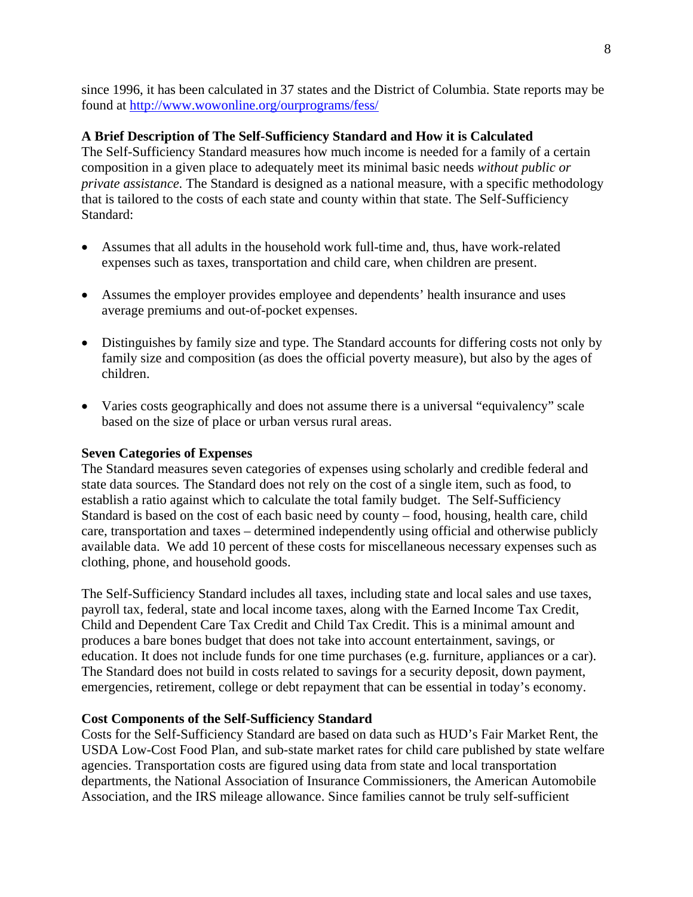since 1996, it has been calculated in 37 states and the District of Columbia. State reports may be found at <http://www.wowonline.org/ourprograms/fess/>

# **A Brief Description of The Self-Sufficiency Standard and How it is Calculated**

The Self-Sufficiency Standard measures how much income is needed for a family of a certain composition in a given place to adequately meet its minimal basic needs *without public or private assistance.* The Standard is designed as a national measure, with a specific methodology that is tailored to the costs of each state and county within that state. The Self-Sufficiency Standard:

- Assumes that all adults in the household work full-time and, thus, have work-related expenses such as taxes, transportation and child care, when children are present.
- Assumes the employer provides employee and dependents' health insurance and uses average premiums and out-of-pocket expenses.
- Distinguishes by family size and type. The Standard accounts for differing costs not only by family size and composition (as does the official poverty measure), but also by the ages of children.
- Varies costs geographically and does not assume there is a universal "equivalency" scale based on the size of place or urban versus rural areas.

# **Seven Categories of Expenses**

The Standard measures seven categories of expenses using scholarly and credible federal and state data sources*.* The Standard does not rely on the cost of a single item, such as food, to establish a ratio against which to calculate the total family budget. The Self-Sufficiency Standard is based on the cost of each basic need by county – food, housing, health care, child care, transportation and taxes – determined independently using official and otherwise publicly available data. We add 10 percent of these costs for miscellaneous necessary expenses such as clothing, phone, and household goods.

The Self-Sufficiency Standard includes all taxes, including state and local sales and use taxes, payroll tax, federal, state and local income taxes, along with the Earned Income Tax Credit, Child and Dependent Care Tax Credit and Child Tax Credit. This is a minimal amount and produces a bare bones budget that does not take into account entertainment, savings, or education. It does not include funds for one time purchases (e.g. furniture, appliances or a car). The Standard does not build in costs related to savings for a security deposit, down payment, emergencies, retirement, college or debt repayment that can be essential in today's economy.

# **Cost Components of the Self-Sufficiency Standard**

Costs for the Self-Sufficiency Standard are based on data such as HUD's Fair Market Rent, the USDA Low-Cost Food Plan, and sub-state market rates for child care published by state welfare agencies. Transportation costs are figured using data from state and local transportation departments, the National Association of Insurance Commissioners, the American Automobile Association, and the IRS mileage allowance. Since families cannot be truly self-sufficient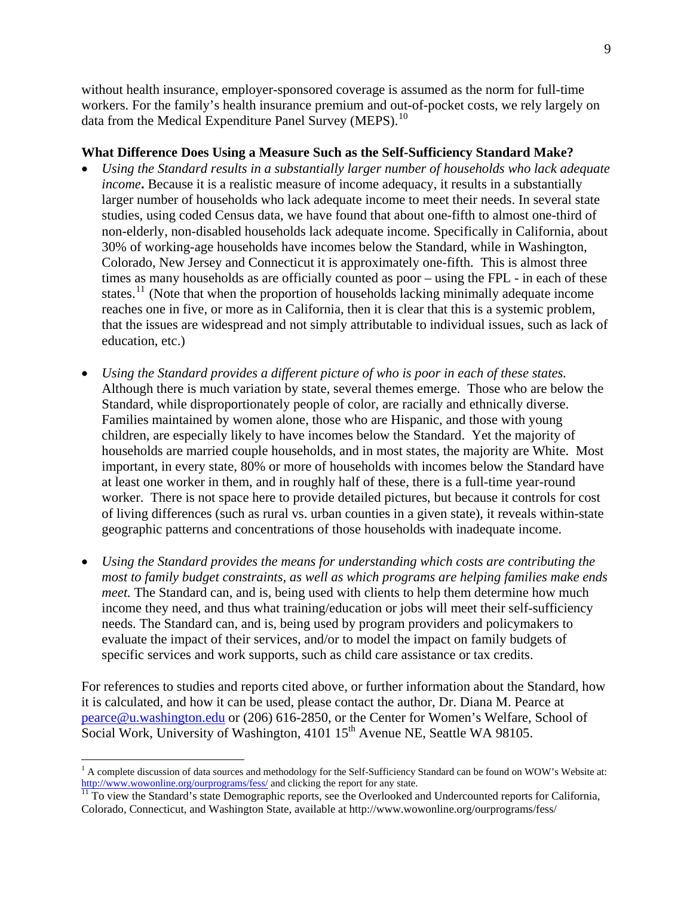without health insurance, employer-sponsored coverage is assumed as the norm for full-time workers. For the family's health insurance premium and out-of-pocket costs, we rely largely on data from the Medical Expenditure Panel Survey (MEPS).<sup>[10](#page-8-0)</sup>

### **What Difference Does Using a Measure Such as the Self-Sufficiency Standard Make?**

- *Using the Standard results in a substantially larger number of households who lack adequate income***.** Because it is a realistic measure of income adequacy, it results in a substantially larger number of households who lack adequate income to meet their needs. In several state studies, using coded Census data, we have found that about one-fifth to almost one-third of non-elderly, non-disabled households lack adequate income. Specifically in California, about 30% of working-age households have incomes below the Standard, while in Washington, Colorado, New Jersey and Connecticut it is approximately one-fifth. This is almost three times as many households as are officially counted as poor – using the FPL - in each of these states.<sup>[11](#page-8-1)</sup> (Note that when the proportion of households lacking minimally adequate income reaches one in five, or more as in California, then it is clear that this is a systemic problem, that the issues are widespread and not simply attributable to individual issues, such as lack of education, etc.)
- *Using the Standard provides a different picture of who is poor in each of these states.* Although there is much variation by state, several themes emerge. Those who are below the Standard, while disproportionately people of color, are racially and ethnically diverse. Families maintained by women alone, those who are Hispanic, and those with young children, are especially likely to have incomes below the Standard. Yet the majority of households are married couple households, and in most states, the majority are White. Most important, in every state, 80% or more of households with incomes below the Standard have at least one worker in them, and in roughly half of these, there is a full-time year-round worker. There is not space here to provide detailed pictures, but because it controls for cost of living differences (such as rural vs. urban counties in a given state), it reveals within-state geographic patterns and concentrations of those households with inadequate income.
- *Using the Standard provides the means for understanding which costs are contributing the most to family budget constraints, as well as which programs are helping families make ends meet.* The Standard can, and is, being used with clients to help them determine how much income they need, and thus what training/education or jobs will meet their self-sufficiency needs. The Standard can, and is, being used by program providers and policymakers to evaluate the impact of their services, and/or to model the impact on family budgets of specific services and work supports, such as child care assistance or tax credits.

For references to studies and reports cited above, or further information about the Standard, how it is calculated, and how it can be used, please contact the author, Dr. Diana M. Pearce at [pearce@u.washington.edu](mailto:pearce@u.washington.edu) or (206) 616-2850, or the Center for Women's Welfare, School of Social Work, University of Washington, 4101 15<sup>th</sup> Avenue NE, Seattle WA 98105.

 $\overline{a}$ 

<span id="page-8-0"></span> $<sup>1</sup>$  A complete discussion of data sources and methodology for the Self-Sufficiency Standard can be found on WOW's Website at:</sup> <http://www.wowonline.org/ourprograms/fess/>and clicking the report for any state.<br><sup>[11](http://www.wowonline.org/ourprograms/fess/)</sup> To view the Standard's state Demographic reports, see the Overlooked and Undercounted reports for California,

<span id="page-8-1"></span>Colorado, Connecticut, and Washington State, available at http://www.wowonline.org/ourprograms/fess/